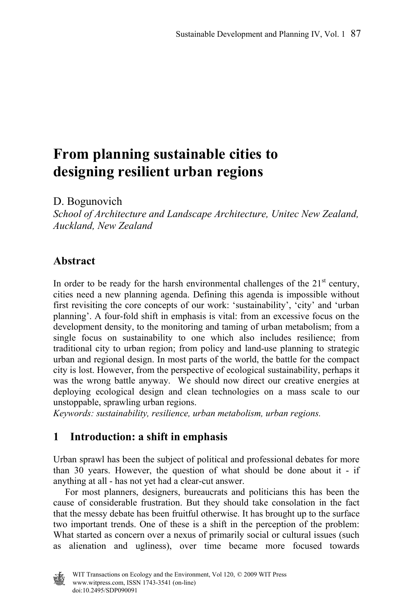# **From planning sustainable cities to designing resilient urban regions**

D. Bogunovich

*School of Architecture and Landscape Architecture, Unitec New Zealand, Auckland, New Zealand* 

# **Abstract**

In order to be ready for the harsh environmental challenges of the  $21<sup>st</sup>$  century, cities need a new planning agenda. Defining this agenda is impossible without first revisiting the core concepts of our work: 'sustainability', 'city' and 'urban planning'. A four-fold shift in emphasis is vital: from an excessive focus on the development density, to the monitoring and taming of urban metabolism; from a single focus on sustainability to one which also includes resilience; from traditional city to urban region; from policy and land-use planning to strategic urban and regional design. In most parts of the world, the battle for the compact city is lost. However, from the perspective of ecological sustainability, perhaps it was the wrong battle anyway. We should now direct our creative energies at deploying ecological design and clean technologies on a mass scale to our unstoppable, sprawling urban regions.

*Keywords: sustainability, resilience, urban metabolism, urban regions.*

# **1 Introduction: a shift in emphasis**

Urban sprawl has been the subject of political and professional debates for more than 30 years. However, the question of what should be done about it - if anything at all - has not yet had a clear-cut answer.

 For most planners, designers, bureaucrats and politicians this has been the cause of considerable frustration. But they should take consolation in the fact that the messy debate has been fruitful otherwise. It has brought up to the surface two important trends. One of these is a shift in the perception of the problem: What started as concern over a nexus of primarily social or cultural issues (such as alienation and ugliness), over time became more focused towards

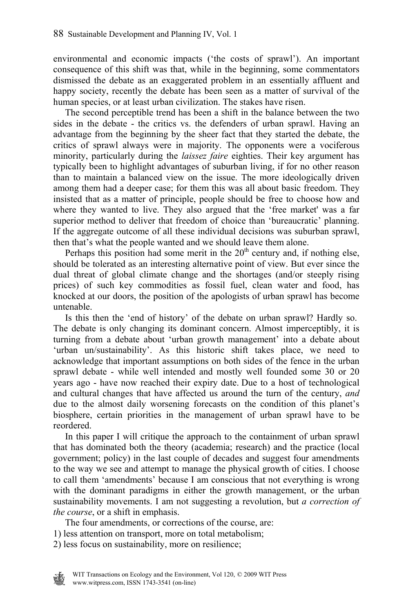environmental and economic impacts ('the costs of sprawl'). An important consequence of this shift was that, while in the beginning, some commentators dismissed the debate as an exaggerated problem in an essentially affluent and happy society, recently the debate has been seen as a matter of survival of the human species, or at least urban civilization. The stakes have risen.

 The second perceptible trend has been a shift in the balance between the two sides in the debate - the critics vs. the defenders of urban sprawl. Having an advantage from the beginning by the sheer fact that they started the debate, the critics of sprawl always were in majority. The opponents were a vociferous minority, particularly during the *laissez faire* eighties. Their key argument has typically been to highlight advantages of suburban living, if for no other reason than to maintain a balanced view on the issue. The more ideologically driven among them had a deeper case; for them this was all about basic freedom. They insisted that as a matter of principle, people should be free to choose how and where they wanted to live. They also argued that the 'free market' was a far superior method to deliver that freedom of choice than 'bureaucratic' planning. If the aggregate outcome of all these individual decisions was suburban sprawl, then that's what the people wanted and we should leave them alone.

Perhaps this position had some merit in the  $20<sup>th</sup>$  century and, if nothing else, should be tolerated as an interesting alternative point of view. But ever since the dual threat of global climate change and the shortages (and/or steeply rising prices) of such key commodities as fossil fuel, clean water and food, has knocked at our doors, the position of the apologists of urban sprawl has become untenable.

 Is this then the 'end of history' of the debate on urban sprawl? Hardly so. The debate is only changing its dominant concern. Almost imperceptibly, it is turning from a debate about 'urban growth management' into a debate about 'urban un/sustainability'. As this historic shift takes place, we need to acknowledge that important assumptions on both sides of the fence in the urban sprawl debate - while well intended and mostly well founded some 30 or 20 years ago - have now reached their expiry date. Due to a host of technological and cultural changes that have affected us around the turn of the century, *and* due to the almost daily worsening forecasts on the condition of this planet's biosphere, certain priorities in the management of urban sprawl have to be reordered.

 In this paper I will critique the approach to the containment of urban sprawl that has dominated both the theory (academia; research) and the practice (local government; policy) in the last couple of decades and suggest four amendments to the way we see and attempt to manage the physical growth of cities. I choose to call them 'amendments' because I am conscious that not everything is wrong with the dominant paradigms in either the growth management, or the urban sustainability movements. I am not suggesting a revolution, but *a correction of the course*, or a shift in emphasis.

The four amendments, or corrections of the course, are:

1) less attention on transport, more on total metabolism;

2) less focus on sustainability, more on resilience;

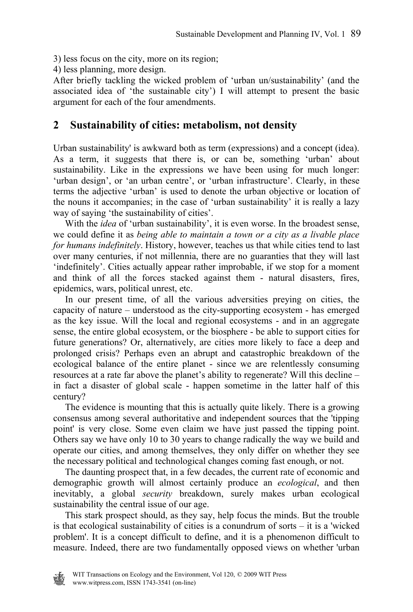- 3) less focus on the city, more on its region;
- 4) less planning, more design.

After briefly tackling the wicked problem of 'urban un/sustainability' (and the associated idea of 'the sustainable city') I will attempt to present the basic argument for each of the four amendments.

#### **2 Sustainability of cities: metabolism, not density**

Urban sustainability' is awkward both as term (expressions) and a concept (idea). As a term, it suggests that there is, or can be, something 'urban' about sustainability. Like in the expressions we have been using for much longer: 'urban design', or 'an urban centre', or 'urban infrastructure'. Clearly, in these terms the adjective 'urban' is used to denote the urban objective or location of the nouns it accompanies; in the case of 'urban sustainability' it is really a lazy way of saying 'the sustainability of cities'.

With the *idea* of 'urban sustainability', it is even worse. In the broadest sense, we could define it as *being able to maintain a town or a city as a livable place for humans indefinitely*. History, however, teaches us that while cities tend to last over many centuries, if not millennia, there are no guaranties that they will last 'indefinitely'. Cities actually appear rather improbable, if we stop for a moment and think of all the forces stacked against them - natural disasters, fires, epidemics, wars, political unrest, etc.

 In our present time, of all the various adversities preying on cities, the capacity of nature – understood as the city-supporting ecosystem - has emerged as the key issue. Will the local and regional ecosystems - and in an aggregate sense, the entire global ecosystem, or the biosphere - be able to support cities for future generations? Or, alternatively, are cities more likely to face a deep and prolonged crisis? Perhaps even an abrupt and catastrophic breakdown of the ecological balance of the entire planet - since we are relentlessly consuming resources at a rate far above the planet's ability to regenerate? Will this decline – in fact a disaster of global scale - happen sometime in the latter half of this century?

 The evidence is mounting that this is actually quite likely. There is a growing consensus among several authoritative and independent sources that the 'tipping point' is very close. Some even claim we have just passed the tipping point. Others say we have only 10 to 30 years to change radically the way we build and operate our cities, and among themselves, they only differ on whether they see the necessary political and technological changes coming fast enough, or not.

 The daunting prospect that, in a few decades, the current rate of economic and demographic growth will almost certainly produce an *ecological*, and then inevitably, a global *security* breakdown, surely makes urban ecological sustainability the central issue of our age.

 This stark prospect should, as they say, help focus the minds. But the trouble is that ecological sustainability of cities is a conundrum of sorts – it is a 'wicked problem'. It is a concept difficult to define, and it is a phenomenon difficult to measure. Indeed, there are two fundamentally opposed views on whether 'urban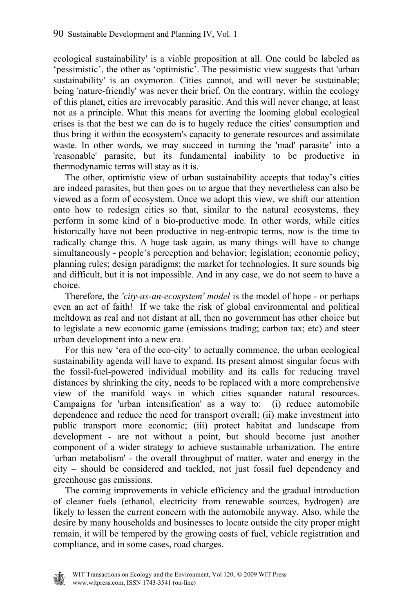ecological sustainability' is a viable proposition at all. One could be labeled as 'pessimistic', the other as 'optimistic'. The pessimistic view suggests that 'urban sustainability' is an oxymoron. Cities cannot, and will never be sustainable; being 'nature-friendly' was never their brief. On the contrary, within the ecology of this planet, cities are irrevocably parasitic. And this will never change, at least not as a principle. What this means for averting the looming global ecological crises is that the best we can do is to hugely reduce the cities' consumption and thus bring it within the ecosystem's capacity to generate resources and assimilate waste. In other words, we may succeed in turning the 'mad' parasite' into a 'reasonable' parasite, but its fundamental inability to be productive in thermodynamic terms will stay as it is.

 The other, optimistic view of urban sustainability accepts that today's cities are indeed parasites, but then goes on to argue that they nevertheless can also be viewed as a form of ecosystem. Once we adopt this view, we shift our attention onto how to redesign cities so that, similar to the natural ecosystems, they perform in some kind of a bio-productive mode. In other words, while cities historically have not been productive in neg-entropic terms, now is the time to radically change this. A huge task again, as many things will have to change simultaneously - people's perception and behavior; legislation; economic policy; planning rules; design paradigms; the market for technologies. It sure sounds big and difficult, but it is not impossible. And in any case, we do not seem to have a choice.

 Therefore, the *'city-as-an-ecosystem' model* is the model of hope - or perhaps even an act of faith! If we take the risk of global environmental and political meltdown as real and not distant at all, then no government has other choice but to legislate a new economic game (emissions trading; carbon tax; etc) and steer urban development into a new era.

 For this new 'era of the eco-city' to actually commence, the urban ecological sustainability agenda will have to expand. Its present almost singular focus with the fossil-fuel-powered individual mobility and its calls for reducing travel distances by shrinking the city, needs to be replaced with a more comprehensive view of the manifold ways in which cities squander natural resources. Campaigns for 'urban intensification' as a way to: (i) reduce automobile dependence and reduce the need for transport overall; (ii) make investment into public transport more economic; (iii) protect habitat and landscape from development - are not without a point, but should become just another component of a wider strategy to achieve sustainable urbanization. The entire 'urban metabolism' - the overall throughput of matter, water and energy in the city – should be considered and tackled, not just fossil fuel dependency and greenhouse gas emissions.

 The coming improvements in vehicle efficiency and the gradual introduction of cleaner fuels (ethanol, electricity from renewable sources, hydrogen) are likely to lessen the current concern with the automobile anyway. Also, while the desire by many households and businesses to locate outside the city proper might remain, it will be tempered by the growing costs of fuel, vehicle registration and compliance, and in some cases, road charges.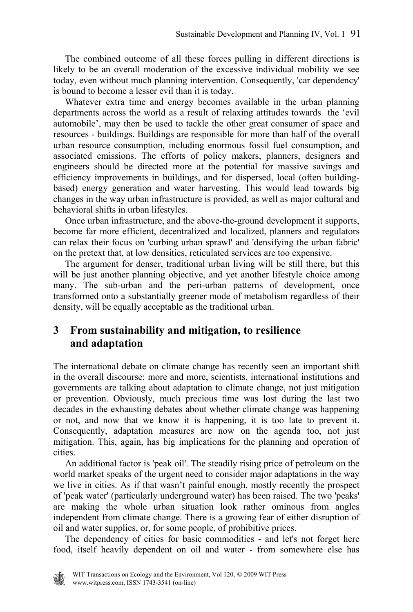The combined outcome of all these forces pulling in different directions is likely to be an overall moderation of the excessive individual mobility we see today, even without much planning intervention. Consequently, 'car dependency' is bound to become a lesser evil than it is today.

 Whatever extra time and energy becomes available in the urban planning departments across the world as a result of relaxing attitudes towards the 'evil automobile', may then be used to tackle the other great consumer of space and resources - buildings. Buildings are responsible for more than half of the overall urban resource consumption, including enormous fossil fuel consumption, and associated emissions. The efforts of policy makers, planners, designers and engineers should be directed more at the potential for massive savings and efficiency improvements in buildings, and for dispersed, local (often buildingbased) energy generation and water harvesting. This would lead towards big changes in the way urban infrastructure is provided, as well as major cultural and behavioral shifts in urban lifestyles.

 Once urban infrastructure, and the above-the-ground development it supports, become far more efficient, decentralized and localized, planners and regulators can relax their focus on 'curbing urban sprawl' and 'densifying the urban fabric' on the pretext that, at low densities, reticulated services are too expensive.

 The argument for denser, traditional urban living will be still there, but this will be just another planning objective, and yet another lifestyle choice among many. The sub-urban and the peri-urban patterns of development, once transformed onto a substantially greener mode of metabolism regardless of their density, will be equally acceptable as the traditional urban.

#### **3 From sustainability and mitigation, to resilience and adaptation**

The international debate on climate change has recently seen an important shift in the overall discourse: more and more, scientists, international institutions and governments are talking about adaptation to climate change, not just mitigation or prevention. Obviously, much precious time was lost during the last two decades in the exhausting debates about whether climate change was happening or not, and now that we know it is happening, it is too late to prevent it. Consequently, adaptation measures are now on the agenda too, not just mitigation. This, again, has big implications for the planning and operation of cities.

 An additional factor is 'peak oil'. The steadily rising price of petroleum on the world market speaks of the urgent need to consider major adaptations in the way we live in cities. As if that wasn't painful enough, mostly recently the prospect of 'peak water' (particularly underground water) has been raised. The two 'peaks' are making the whole urban situation look rather ominous from angles independent from climate change. There is a growing fear of either disruption of oil and water supplies, or, for some people, of prohibitive prices.

 The dependency of cities for basic commodities - and let's not forget here food, itself heavily dependent on oil and water - from somewhere else has

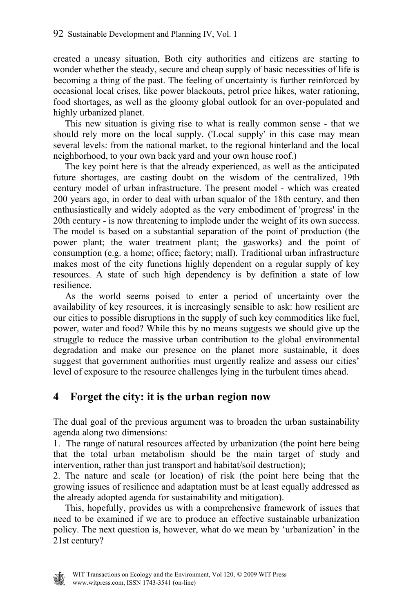created a uneasy situation, Both city authorities and citizens are starting to wonder whether the steady, secure and cheap supply of basic necessities of life is becoming a thing of the past. The feeling of uncertainty is further reinforced by occasional local crises, like power blackouts, petrol price hikes, water rationing, food shortages, as well as the gloomy global outlook for an over-populated and highly urbanized planet.

 This new situation is giving rise to what is really common sense - that we should rely more on the local supply. ('Local supply' in this case may mean several levels: from the national market, to the regional hinterland and the local neighborhood, to your own back yard and your own house roof.)

 The key point here is that the already experienced, as well as the anticipated future shortages, are casting doubt on the wisdom of the centralized, 19th century model of urban infrastructure. The present model - which was created 200 years ago, in order to deal with urban squalor of the 18th century, and then enthusiastically and widely adopted as the very embodiment of 'progress' in the 20th century - is now threatening to implode under the weight of its own success. The model is based on a substantial separation of the point of production (the power plant; the water treatment plant; the gasworks) and the point of consumption (e.g. a home; office; factory; mall). Traditional urban infrastructure makes most of the city functions highly dependent on a regular supply of key resources. A state of such high dependency is by definition a state of low resilience.

 As the world seems poised to enter a period of uncertainty over the availability of key resources, it is increasingly sensible to ask: how resilient are our cities to possible disruptions in the supply of such key commodities like fuel, power, water and food? While this by no means suggests we should give up the struggle to reduce the massive urban contribution to the global environmental degradation and make our presence on the planet more sustainable, it does suggest that government authorities must urgently realize and assess our cities' level of exposure to the resource challenges lying in the turbulent times ahead.

## **4 Forget the city: it is the urban region now**

The dual goal of the previous argument was to broaden the urban sustainability agenda along two dimensions:

1. The range of natural resources affected by urbanization (the point here being that the total urban metabolism should be the main target of study and intervention, rather than just transport and habitat/soil destruction);

2. The nature and scale (or location) of risk (the point here being that the growing issues of resilience and adaptation must be at least equally addressed as the already adopted agenda for sustainability and mitigation).

 This, hopefully, provides us with a comprehensive framework of issues that need to be examined if we are to produce an effective sustainable urbanization policy. The next question is, however, what do we mean by 'urbanization' in the 21st century?

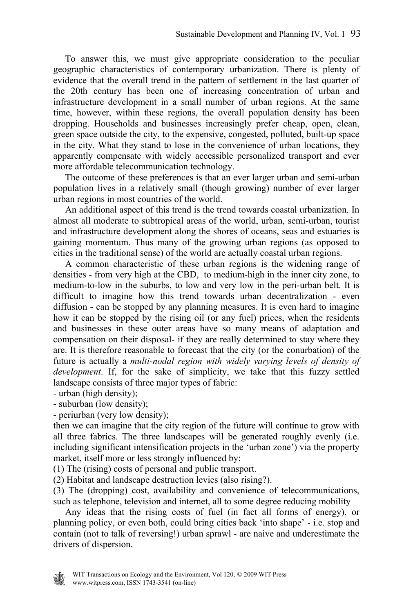To answer this, we must give appropriate consideration to the peculiar geographic characteristics of contemporary urbanization. There is plenty of evidence that the overall trend in the pattern of settlement in the last quarter of the 20th century has been one of increasing concentration of urban and infrastructure development in a small number of urban regions. At the same time, however, within these regions, the overall population density has been dropping. Households and businesses increasingly prefer cheap, open, clean, green space outside the city, to the expensive, congested, polluted, built-up space in the city. What they stand to lose in the convenience of urban locations, they apparently compensate with widely accessible personalized transport and ever more affordable telecommunication technology.

 The outcome of these preferences is that an ever larger urban and semi-urban population lives in a relatively small (though growing) number of ever larger urban regions in most countries of the world.

 An additional aspect of this trend is the trend towards coastal urbanization. In almost all moderate to subtropical areas of the world, urban, semi-urban, tourist and infrastructure development along the shores of oceans, seas and estuaries is gaining momentum. Thus many of the growing urban regions (as opposed to cities in the traditional sense) of the world are actually coastal urban regions.

 A common characteristic of these urban regions is the widening range of densities - from very high at the CBD, to medium-high in the inner city zone, to medium-to-low in the suburbs, to low and very low in the peri-urban belt. It is difficult to imagine how this trend towards urban decentralization - even diffusion - can be stopped by any planning measures. It is even hard to imagine how it can be stopped by the rising oil (or any fuel) prices, when the residents and businesses in these outer areas have so many means of adaptation and compensation on their disposal- if they are really determined to stay where they are. It is therefore reasonable to forecast that the city (or the conurbation) of the future is actually a *multi-nodal region with widely varying levels of density of development*. If, for the sake of simplicity, we take that this fuzzy settled landscape consists of three major types of fabric:

- urban (high density);

- suburban (low density);

- periurban (very low density);

then we can imagine that the city region of the future will continue to grow with all three fabrics. The three landscapes will be generated roughly evenly (i.e. including significant intensification projects in the 'urban zone') via the property market, itself more or less strongly influenced by:

(1) The (rising) costs of personal and public transport.

(2) Habitat and landscape destruction levies (also rising?).

(3) The (dropping) cost, availability and convenience of telecommunications, such as telephone, television and internet, all to some degree reducing mobility

 Any ideas that the rising costs of fuel (in fact all forms of energy), or planning policy, or even both, could bring cities back 'into shape' - i.e. stop and contain (not to talk of reversing!) urban sprawl - are naive and underestimate the drivers of dispersion.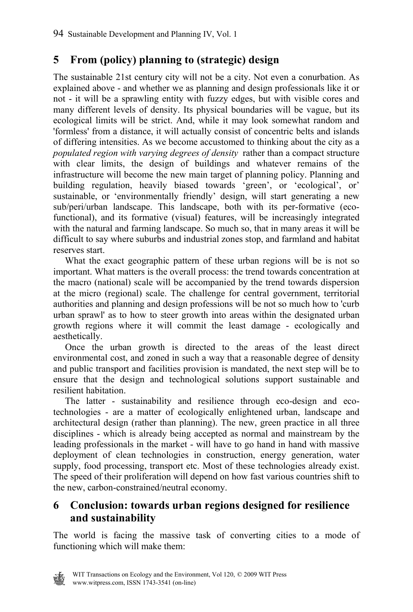## **5 From (policy) planning to (strategic) design**

The sustainable 21st century city will not be a city. Not even a conurbation. As explained above - and whether we as planning and design professionals like it or not - it will be a sprawling entity with fuzzy edges, but with visible cores and many different levels of density. Its physical boundaries will be vague, but its ecological limits will be strict. And, while it may look somewhat random and 'formless' from a distance, it will actually consist of concentric belts and islands of differing intensities. As we become accustomed to thinking about the city as a *populated region with varying degrees of density* rather than a compact structure with clear limits, the design of buildings and whatever remains of the infrastructure will become the new main target of planning policy. Planning and building regulation, heavily biased towards 'green', or 'ecological', or' sustainable, or 'environmentally friendly' design, will start generating a new sub/peri/urban landscape. This landscape, both with its per-formative (ecofunctional), and its formative (visual) features, will be increasingly integrated with the natural and farming landscape. So much so, that in many areas it will be difficult to say where suburbs and industrial zones stop, and farmland and habitat reserves start.

 What the exact geographic pattern of these urban regions will be is not so important. What matters is the overall process: the trend towards concentration at the macro (national) scale will be accompanied by the trend towards dispersion at the micro (regional) scale. The challenge for central government, territorial authorities and planning and design professions will be not so much how to 'curb urban sprawl' as to how to steer growth into areas within the designated urban growth regions where it will commit the least damage - ecologically and aesthetically.

 Once the urban growth is directed to the areas of the least direct environmental cost, and zoned in such a way that a reasonable degree of density and public transport and facilities provision is mandated, the next step will be to ensure that the design and technological solutions support sustainable and resilient habitation.

 The latter - sustainability and resilience through eco-design and ecotechnologies - are a matter of ecologically enlightened urban, landscape and architectural design (rather than planning). The new, green practice in all three disciplines - which is already being accepted as normal and mainstream by the leading professionals in the market - will have to go hand in hand with massive deployment of clean technologies in construction, energy generation, water supply, food processing, transport etc. Most of these technologies already exist. The speed of their proliferation will depend on how fast various countries shift to the new, carbon-constrained/neutral economy.

### **6 Conclusion: towards urban regions designed for resilience and sustainability**

The world is facing the massive task of converting cities to a mode of functioning which will make them:

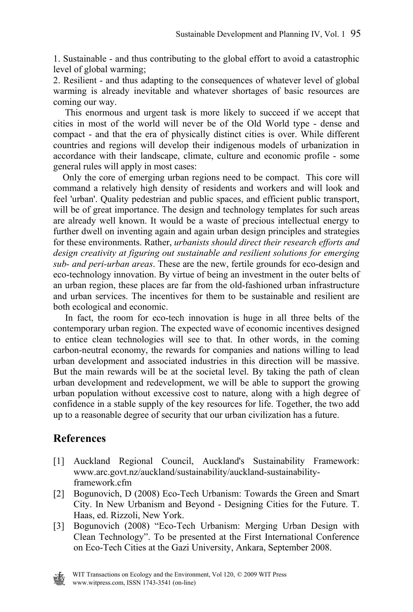1. Sustainable - and thus contributing to the global effort to avoid a catastrophic level of global warming;

2. Resilient - and thus adapting to the consequences of whatever level of global warming is already inevitable and whatever shortages of basic resources are coming our way.

 This enormous and urgent task is more likely to succeed if we accept that cities in most of the world will never be of the Old World type - dense and compact - and that the era of physically distinct cities is over. While different countries and regions will develop their indigenous models of urbanization in accordance with their landscape, climate, culture and economic profile - some general rules will apply in most cases:

 Only the core of emerging urban regions need to be compact. This core will command a relatively high density of residents and workers and will look and feel 'urban'. Quality pedestrian and public spaces, and efficient public transport, will be of great importance. The design and technology templates for such areas are already well known. It would be a waste of precious intellectual energy to further dwell on inventing again and again urban design principles and strategies for these environments. Rather, *urbanists should direct their research efforts and design creativity at figuring out sustainable and resilient solutions for emerging sub- and peri-urban areas*. These are the new, fertile grounds for eco-design and eco-technology innovation. By virtue of being an investment in the outer belts of an urban region, these places are far from the old-fashioned urban infrastructure and urban services. The incentives for them to be sustainable and resilient are both ecological and economic.

 In fact, the room for eco-tech innovation is huge in all three belts of the contemporary urban region. The expected wave of economic incentives designed to entice clean technologies will see to that. In other words, in the coming carbon-neutral economy, the rewards for companies and nations willing to lead urban development and associated industries in this direction will be massive. But the main rewards will be at the societal level. By taking the path of clean urban development and redevelopment, we will be able to support the growing urban population without excessive cost to nature, along with a high degree of confidence in a stable supply of the key resources for life. Together, the two add up to a reasonable degree of security that our urban civilization has a future.

#### **References**

- [1] Auckland Regional Council, Auckland's Sustainability Framework: www.arc.govt.nz/auckland/sustainability/auckland-sustainabilityframework.cfm
- [2] Bogunovich, D (2008) Eco-Tech Urbanism: Towards the Green and Smart City. In New Urbanism and Beyond - Designing Cities for the Future. T. Haas, ed. Rizzoli, New York.
- [3] Bogunovich (2008) "Eco-Tech Urbanism: Merging Urban Design with Clean Technology". To be presented at the First International Conference on Eco-Tech Cities at the Gazi University, Ankara, September 2008.